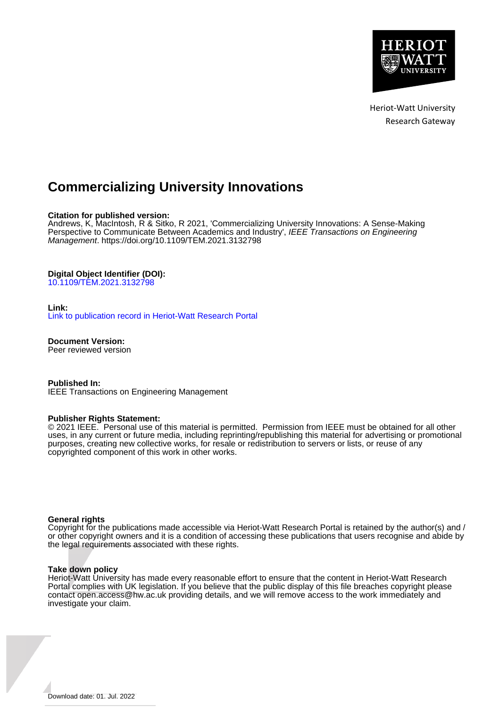

Heriot-Watt University Research Gateway

# **Commercializing University Innovations**

# **Citation for published version:**

Andrews, K, MacIntosh, R & Sitko, R 2021, 'Commercializing University Innovations: A Sense-Making Perspective to Communicate Between Academics and Industry', IEEE Transactions on Engineering Management. <https://doi.org/10.1109/TEM.2021.3132798>

# **Digital Object Identifier (DOI):**

[10.1109/TEM.2021.3132798](https://doi.org/10.1109/TEM.2021.3132798)

# **Link:**

[Link to publication record in Heriot-Watt Research Portal](https://researchportal.hw.ac.uk/en/publications/adf11403-c5ac-4d2e-91f9-4736da72f8d3)

**Document Version:** Peer reviewed version

**Published In:** IEEE Transactions on Engineering Management

# **Publisher Rights Statement:**

© 2021 IEEE. Personal use of this material is permitted. Permission from IEEE must be obtained for all other uses, in any current or future media, including reprinting/republishing this material for advertising or promotional purposes, creating new collective works, for resale or redistribution to servers or lists, or reuse of any copyrighted component of this work in other works.

# **General rights**

Copyright for the publications made accessible via Heriot-Watt Research Portal is retained by the author(s) and / or other copyright owners and it is a condition of accessing these publications that users recognise and abide by the legal requirements associated with these rights.

# **Take down policy**

Heriot-Watt University has made every reasonable effort to ensure that the content in Heriot-Watt Research Portal complies with UK legislation. If you believe that the public display of this file breaches copyright please contact open.access@hw.ac.uk providing details, and we will remove access to the work immediately and investigate your claim.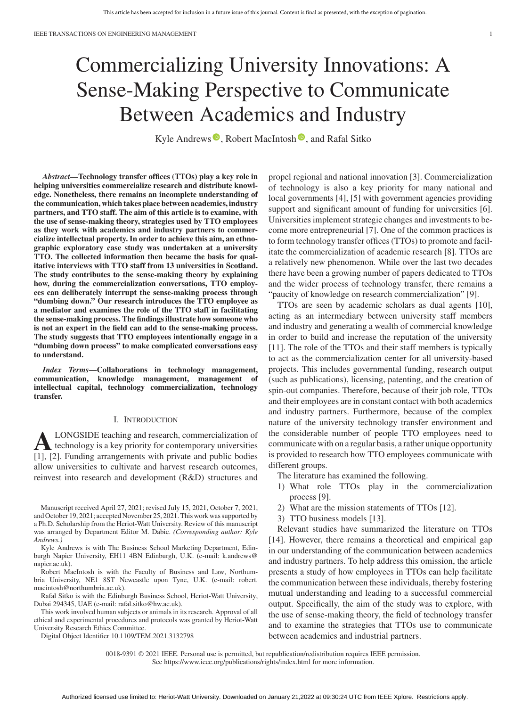# Commercializing University Innovations: A Sense-Making Perspective to Communicate Between Academics and Industry

Kyle Andrews  $\bullet$ [,](https://orcid.org/0000-0001-7333-0201) Robert MacIntosh  $\bullet$ , and Rafal Sitko

*Abstract***—Technology transfer offices (TTOs) play a key role in helping universities commercialize research and distribute knowledge. Nonetheless, there remains an incomplete understanding of the communication, which takes place between academics, industry partners, and TTO staff. The aim of this article is to examine, with the use of sense-making theory, strategies used by TTO employees as they work with academics and industry partners to commercialize intellectual property. In order to achieve this aim, an ethnographic exploratory case study was undertaken at a university TTO. The collected information then became the basis for qualitative interviews with TTO staff from 13 universities in Scotland. The study contributes to the sense-making theory by explaining how, during the commercialization conversations, TTO employees can deliberately interrupt the sense-making process through "dumbing down." Our research introduces the TTO employee as a mediator and examines the role of the TTO staff in facilitating the sense-making process. The findings illustrate how someone who is not an expert in the field can add to the sense-making process. The study suggests that TTO employees intentionally engage in a "dumbing down process" to make complicated conversations easy to understand.**

*Index Terms***—Collaborations in technology management, communication, knowledge management, management of intellectual capital, technology commercialization, technology transfer.**

#### I. INTRODUCTION

**ALONGSIDE teaching and research, commercialization of**<br>technology is a key priority for contemporary universities<br>[11, [2] Eunding expansionents with private and public hodies [1], [2]. Funding arrangements with private and public bodies allow universities to cultivate and harvest research outcomes, reinvest into research and development (R&D) structures and

Manuscript received April 27, 2021; revised July 15, 2021, October 7, 2021, and October 19, 2021; accepted November 25, 2021. This work was supported by a Ph.D. Scholarship from the Heriot-Watt University. Review of this manuscript was arranged by Department Editor M. Dabic. *(Corresponding author: Kyle Andrews.)*

Kyle Andrews is with The Business School Marketing Department, Edinburgh Napier University, EH11 4BN Edinburgh, U.K. (e-mail: [k.andrews@](mailto:k.andrews@napier.ac.uk) [napier.ac.uk\)](mailto:k.andrews@napier.ac.uk).

Robert MacIntosh is with the Faculty of Business and Law, Northumbria University, NE1 8ST Newcastle upon Tyne, U.K. (e-mail: [robert.](mailto:robert.macintosh@northumbria.ac.uk) [macintosh@northumbria.ac.uk\)](mailto:robert.macintosh@northumbria.ac.uk).

Rafal Sitko is with the Edinburgh Business School, Heriot-Watt University, Dubai 294345, UAE (e-mail: [rafal.sitko@hw.ac.uk\)](mailto:rafal.sitko@hw.ac.uk).

This work involved human subjects or animals in its research. Approval of all ethical and experimental procedures and protocols was granted by Heriot-Watt University Research Ethics Committee.

Digital Object Identifier 10.1109/TEM.2021.3132798

propel regional and national innovation [3]. Commercialization of technology is also a key priority for many national and local governments [4], [5] with government agencies providing support and significant amount of funding for universities [6]. Universities implement strategic changes and investments to become more entrepreneurial [7]. One of the common practices is to form technology transfer offices (TTOs) to promote and facilitate the commercialization of academic research [8]. TTOs are a relatively new phenomenon. While over the last two decades there have been a growing number of papers dedicated to TTOs and the wider process of technology transfer, there remains a "paucity of knowledge on research commercialization" [9].

TTOs are seen by academic scholars as dual agents [10], acting as an intermediary between university staff members and industry and generating a wealth of commercial knowledge in order to build and increase the reputation of the university [11]. The role of the TTOs and their staff members is typically to act as the commercialization center for all university-based projects. This includes governmental funding, research output (such as publications), licensing, patenting, and the creation of spin-out companies. Therefore, because of their job role, TTOs and their employees are in constant contact with both academics and industry partners. Furthermore, because of the complex nature of the university technology transfer environment and the considerable number of people TTO employees need to communicate with on a regular basis, a rather unique opportunity is provided to research how TTO employees communicate with different groups.

The literature has examined the following.

- 1) What role TTOs play in the commercialization process [9].
- 2) What are the mission statements of TTOs [12].
- 3) TTO business models [13].

Relevant studies have summarized the literature on TTOs [14]. However, there remains a theoretical and empirical gap in our understanding of the communication between academics and industry partners. To help address this omission, the article presents a study of how employees in TTOs can help facilitate the communication between these individuals, thereby fostering mutual understanding and leading to a successful commercial output. Specifically, the aim of the study was to explore, with the use of sense-making theory, the field of technology transfer and to examine the strategies that TTOs use to communicate between academics and industrial partners.

0018-9391 © 2021 IEEE. Personal use is permitted, but republication/redistribution requires IEEE permission. See https://www.ieee.org/publications/rights/index.html for more information.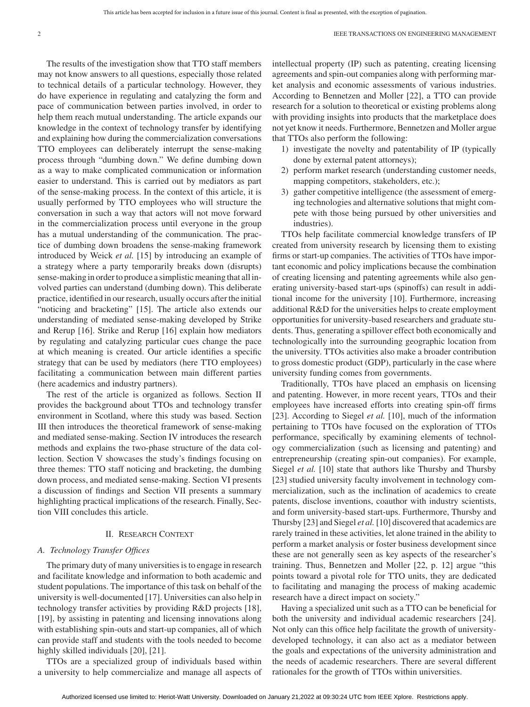The results of the investigation show that TTO staff members may not know answers to all questions, especially those related to technical details of a particular technology. However, they do have experience in regulating and catalyzing the form and pace of communication between parties involved, in order to help them reach mutual understanding. The article expands our knowledge in the context of technology transfer by identifying and explaining how during the commercialization conversations TTO employees can deliberately interrupt the sense-making process through "dumbing down." We define dumbing down as a way to make complicated communication or information easier to understand. This is carried out by mediators as part of the sense-making process. In the context of this article, it is usually performed by TTO employees who will structure the conversation in such a way that actors will not move forward in the commercialization process until everyone in the group has a mutual understanding of the communication. The practice of dumbing down broadens the sense-making framework introduced by Weick *et al.* [15] by introducing an example of a strategy where a party temporarily breaks down (disrupts) sense-making in order to produce a simplistic meaning that all involved parties can understand (dumbing down). This deliberate practice, identified in our research, usually occurs after the initial "noticing and bracketing" [15]. The article also extends our understanding of mediated sense-making developed by Strike and Rerup [16]. Strike and Rerup [16] explain how mediators by regulating and catalyzing particular cues change the pace at which meaning is created. Our article identifies a specific strategy that can be used by mediators (here TTO employees) facilitating a communication between main different parties (here academics and industry partners).

The rest of the article is organized as follows. Section II provides the background about TTOs and technology transfer environment in Scotland, where this study was based. Section III then introduces the theoretical framework of sense-making and mediated sense-making. Section IV introduces the research methods and explains the two-phase structure of the data collection. Section V showcases the study's findings focusing on three themes: TTO staff noticing and bracketing, the dumbing down process, and mediated sense-making. Section VI presents a discussion of findings and Section VII presents a summary highlighting practical implications of the research. Finally, Section VIII concludes this article.

#### II. RESEARCH CONTEXT

#### *A. Technology Transfer Offices*

The primary duty of many universities is to engage in research and facilitate knowledge and information to both academic and student populations. The importance of this task on behalf of the university is well-documented [17]. Universities can also help in technology transfer activities by providing R&D projects [18], [19], by assisting in patenting and licensing innovations along with establishing spin-outs and start-up companies, all of which can provide staff and students with the tools needed to become highly skilled individuals [20], [21].

TTOs are a specialized group of individuals based within a university to help commercialize and manage all aspects of intellectual property (IP) such as patenting, creating licensing agreements and spin-out companies along with performing market analysis and economic assessments of various industries. According to Bennetzen and Moller [22], a TTO can provide research for a solution to theoretical or existing problems along with providing insights into products that the marketplace does not yet know it needs. Furthermore, Bennetzen and Moller argue that TTOs also perform the following:

- 1) investigate the novelty and patentability of IP (typically done by external patent attorneys);
- 2) perform market research (understanding customer needs, mapping competitors, stakeholders, etc.);
- 3) gather competitive intelligence (the assessment of emerging technologies and alternative solutions that might compete with those being pursued by other universities and industries).

TTOs help facilitate commercial knowledge transfers of IP created from university research by licensing them to existing firms or start-up companies. The activities of TTOs have important economic and policy implications because the combination of creating licensing and patenting agreements while also generating university-based start-ups (spinoffs) can result in additional income for the university [10]. Furthermore, increasing additional R&D for the universities helps to create employment opportunities for university-based researchers and graduate students. Thus, generating a spillover effect both economically and technologically into the surrounding geographic location from the university. TTOs activities also make a broader contribution to gross domestic product (GDP), particularly in the case where university funding comes from governments.

Traditionally, TTOs have placed an emphasis on licensing and patenting. However, in more recent years, TTOs and their employees have increased efforts into creating spin-off firms [23]. According to Siegel *et al.* [10], much of the information pertaining to TTOs have focused on the exploration of TTOs performance, specifically by examining elements of technology commercialization (such as licensing and patenting) and entrepreneurship (creating spin-out companies). For example, Siegel *et al.* [10] state that authors like Thursby and Thursby [23] studied university faculty involvement in technology commercialization, such as the inclination of academics to create patents, disclose inventions, coauthor with industry scientists, and form university-based start-ups. Furthermore, Thursby and Thursby [23] and Siegel *et al.* [10] discovered that academics are rarely trained in these activities, let alone trained in the ability to perform a market analysis or foster business development since these are not generally seen as key aspects of the researcher's training. Thus, Bennetzen and Moller [22, p. 12] argue "this points toward a pivotal role for TTO units, they are dedicated to facilitating and managing the process of making academic research have a direct impact on society."

Having a specialized unit such as a TTO can be beneficial for both the university and individual academic researchers [24]. Not only can this office help facilitate the growth of universitydeveloped technology, it can also act as a mediator between the goals and expectations of the university administration and the needs of academic researchers. There are several different rationales for the growth of TTOs within universities.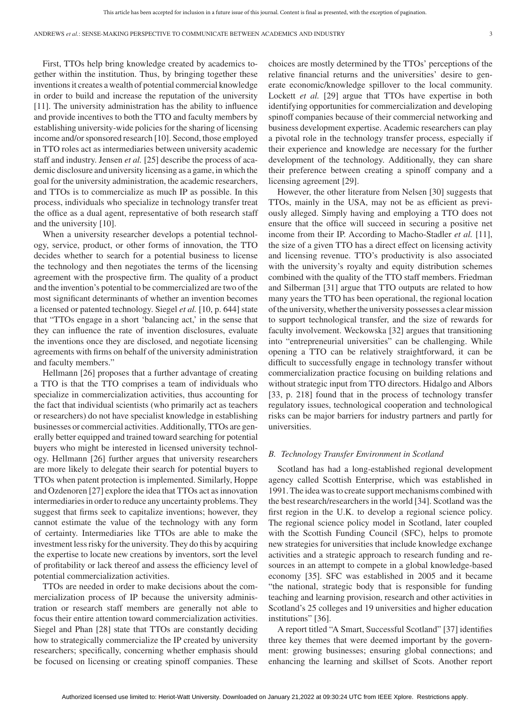First, TTOs help bring knowledge created by academics together within the institution. Thus, by bringing together these inventions it creates a wealth of potential commercial knowledge in order to build and increase the reputation of the university [11]. The university administration has the ability to influence and provide incentives to both the TTO and faculty members by establishing university-wide policies for the sharing of licensing income and/or sponsored research [10]. Second, those employed in TTO roles act as intermediaries between university academic staff and industry. Jensen *et al.* [25] describe the process of academic disclosure and university licensing as a game, in which the goal for the university administration, the academic researchers, and TTOs is to commercialize as much IP as possible. In this process, individuals who specialize in technology transfer treat the office as a dual agent, representative of both research staff and the university [10].

When a university researcher develops a potential technology, service, product, or other forms of innovation, the TTO decides whether to search for a potential business to license the technology and then negotiates the terms of the licensing agreement with the prospective firm. The quality of a product and the invention's potential to be commercialized are two of the most significant determinants of whether an invention becomes a licensed or patented technology. Siegel *et al.* [10, p. 644] state that "TTOs engage in a short 'balancing act,' in the sense that they can influence the rate of invention disclosures, evaluate the inventions once they are disclosed, and negotiate licensing agreements with firms on behalf of the university administration and faculty members."

Hellmann [26] proposes that a further advantage of creating a TTO is that the TTO comprises a team of individuals who specialize in commercialization activities, thus accounting for the fact that individual scientists (who primarily act as teachers or researchers) do not have specialist knowledge in establishing businesses or commercial activities. Additionally, TTOs are generally better equipped and trained toward searching for potential buyers who might be interested in licensed university technology. Hellmann [26] further argues that university researchers are more likely to delegate their search for potential buyers to TTOs when patent protection is implemented. Similarly, Hoppe and Ozdenoren [27] explore the idea that TTOs act as innovation intermediaries in order to reduce any uncertainty problems. They suggest that firms seek to capitalize inventions; however, they cannot estimate the value of the technology with any form of certainty. Intermediaries like TTOs are able to make the investment less risky for the university. They do this by acquiring the expertise to locate new creations by inventors, sort the level of profitability or lack thereof and assess the efficiency level of potential commercialization activities.

TTOs are needed in order to make decisions about the commercialization process of IP because the university administration or research staff members are generally not able to focus their entire attention toward commercialization activities. Siegel and Phan [28] state that TTOs are constantly deciding how to strategically commercialize the IP created by university researchers; specifically, concerning whether emphasis should be focused on licensing or creating spinoff companies. These choices are mostly determined by the TTOs' perceptions of the relative financial returns and the universities' desire to generate economic/knowledge spillover to the local community. Lockett *et al.* [29] argue that TTOs have expertise in both identifying opportunities for commercialization and developing spinoff companies because of their commercial networking and business development expertise. Academic researchers can play a pivotal role in the technology transfer process, especially if their experience and knowledge are necessary for the further development of the technology. Additionally, they can share their preference between creating a spinoff company and a licensing agreement [29].

However, the other literature from Nelsen [30] suggests that TTOs, mainly in the USA, may not be as efficient as previously alleged. Simply having and employing a TTO does not ensure that the office will succeed in securing a positive net income from their IP. According to Macho-Stadler *et al.* [11], the size of a given TTO has a direct effect on licensing activity and licensing revenue. TTO's productivity is also associated with the university's royalty and equity distribution schemes combined with the quality of the TTO staff members. Friedman and Silberman [31] argue that TTO outputs are related to how many years the TTO has been operational, the regional location of the university, whether the university possesses a clear mission to support technological transfer, and the size of rewards for faculty involvement. Weckowska [32] argues that transitioning into "entrepreneurial universities" can be challenging. While opening a TTO can be relatively straightforward, it can be difficult to successfully engage in technology transfer without commercialization practice focusing on building relations and without strategic input from TTO directors. Hidalgo and Albors [33, p. 218] found that in the process of technology transfer regulatory issues, technological cooperation and technological risks can be major barriers for industry partners and partly for universities.

#### *B. Technology Transfer Environment in Scotland*

Scotland has had a long-established regional development agency called Scottish Enterprise, which was established in 1991. The idea was to create support mechanisms combined with the best research/researchers in the world [34]. Scotland was the first region in the U.K. to develop a regional science policy. The regional science policy model in Scotland, later coupled with the Scottish Funding Council (SFC), helps to promote new strategies for universities that include knowledge exchange activities and a strategic approach to research funding and resources in an attempt to compete in a global knowledge-based economy [35]. SFC was established in 2005 and it became "the national, strategic body that is responsible for funding teaching and learning provision, research and other activities in Scotland's 25 colleges and 19 universities and higher education institutions" [36].

A report titled "A Smart, Successful Scotland" [37] identifies three key themes that were deemed important by the government: growing businesses; ensuring global connections; and enhancing the learning and skillset of Scots. Another report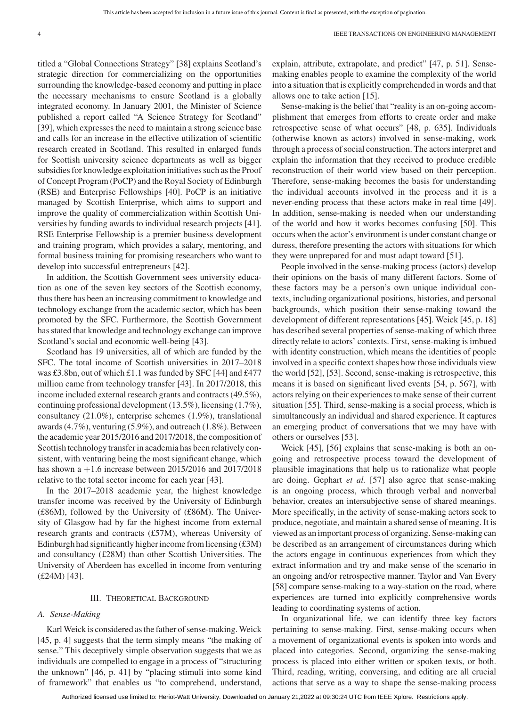titled a "Global Connections Strategy" [38] explains Scotland's strategic direction for commercializing on the opportunities surrounding the knowledge-based economy and putting in place the necessary mechanisms to ensure Scotland is a globally integrated economy. In January 2001, the Minister of Science published a report called "A Science Strategy for Scotland" [39], which expresses the need to maintain a strong science base and calls for an increase in the effective utilization of scientific research created in Scotland. This resulted in enlarged funds for Scottish university science departments as well as bigger subsidies for knowledge exploitation initiatives such as the Proof of Concept Program (PoCP) and the Royal Society of Edinburgh (RSE) and Enterprise Fellowships [40]. PoCP is an initiative managed by Scottish Enterprise, which aims to support and improve the quality of commercialization within Scottish Universities by funding awards to individual research projects [41]. RSE Enterprise Fellowship is a premier business development and training program, which provides a salary, mentoring, and formal business training for promising researchers who want to develop into successful entrepreneurs [42].

In addition, the Scottish Government sees university education as one of the seven key sectors of the Scottish economy, thus there has been an increasing commitment to knowledge and technology exchange from the academic sector, which has been promoted by the SFC. Furthermore, the Scottish Government has stated that knowledge and technology exchange can improve Scotland's social and economic well-being [43].

Scotland has 19 universities, all of which are funded by the SFC. The total income of Scottish universities in 2017–2018 was £3.8bn, out of which £1.1 was funded by SFC [44] and £477 million came from technology transfer [43]. In 2017/2018, this income included external research grants and contracts (49.5%), continuing professional development (13.5%), licensing (1.7%), consultancy (21.0%), enterprise schemes (1.9%), translational awards (4.7%), venturing (5.9%), and outreach (1.8%). Between the academic year 2015/2016 and 2017/2018, the composition of Scottish technology transfer in academia has been relatively consistent, with venturing being the most significant change, which has shown a  $+1.6$  increase between 2015/2016 and 2017/2018 relative to the total sector income for each year [43].

In the 2017–2018 academic year, the highest knowledge transfer income was received by the University of Edinburgh (£86M), followed by the University of (£86M). The University of Glasgow had by far the highest income from external research grants and contracts (£57M), whereas University of Edinburgh had significantly higher income from licensing (£3M) and consultancy (£28M) than other Scottish Universities. The University of Aberdeen has excelled in income from venturing (£24M) [43].

#### III. THEORETICAL BACKGROUND

#### *A. Sense-Making*

KarlWeick is considered as the father of sense-making.Weick [45, p. 4] suggests that the term simply means "the making of sense." This deceptively simple observation suggests that we as individuals are compelled to engage in a process of "structuring the unknown" [46, p. 41] by "placing stimuli into some kind of framework" that enables us "to comprehend, understand,

explain, attribute, extrapolate, and predict" [47, p. 51]. Sensemaking enables people to examine the complexity of the world into a situation that is explicitly comprehended in words and that allows one to take action [15].

Sense-making is the belief that "reality is an on-going accomplishment that emerges from efforts to create order and make retrospective sense of what occurs" [48, p. 635]. Individuals (otherwise known as actors) involved in sense-making, work through a process of social construction. The actors interpret and explain the information that they received to produce credible reconstruction of their world view based on their perception. Therefore, sense-making becomes the basis for understanding the individual accounts involved in the process and it is a never-ending process that these actors make in real time [49]. In addition, sense-making is needed when our understanding of the world and how it works becomes confusing [50]. This occurs when the actor's environment is under constant change or duress, therefore presenting the actors with situations for which they were unprepared for and must adapt toward [51].

People involved in the sense-making process (actors) develop their opinions on the basis of many different factors. Some of these factors may be a person's own unique individual contexts, including organizational positions, histories, and personal backgrounds, which position their sense-making toward the development of different representations [45]. Weick [45, p. 18] has described several properties of sense-making of which three directly relate to actors' contexts. First, sense-making is imbued with identity construction, which means the identities of people involved in a specific context shapes how those individuals view the world [52], [53]. Second, sense-making is retrospective, this means it is based on significant lived events [54, p. 567], with actors relying on their experiences to make sense of their current situation [55]. Third, sense-making is a social process, which is simultaneously an individual and shared experience. It captures an emerging product of conversations that we may have with others or ourselves [53].

Weick [45], [56] explains that sense-making is both an ongoing and retrospective process toward the development of plausible imaginations that help us to rationalize what people are doing. Gephart *et al.* [57] also agree that sense-making is an ongoing process, which through verbal and nonverbal behavior, creates an intersubjective sense of shared meanings. More specifically, in the activity of sense-making actors seek to produce, negotiate, and maintain a shared sense of meaning. It is viewed as an important process of organizing. Sense-making can be described as an arrangement of circumstances during which the actors engage in continuous experiences from which they extract information and try and make sense of the scenario in an ongoing and/or retrospective manner. Taylor and Van Every [58] compare sense-making to a way-station on the road, where experiences are turned into explicitly comprehensive words leading to coordinating systems of action.

In organizational life, we can identify three key factors pertaining to sense-making. First, sense-making occurs when a movement of organizational events is spoken into words and placed into categories. Second, organizing the sense-making process is placed into either written or spoken texts, or both. Third, reading, writing, conversing, and editing are all crucial actions that serve as a way to shape the sense-making process

Authorized licensed use limited to: Heriot-Watt University. Downloaded on January 21,2022 at 09:30:24 UTC from IEEE Xplore. Restrictions apply.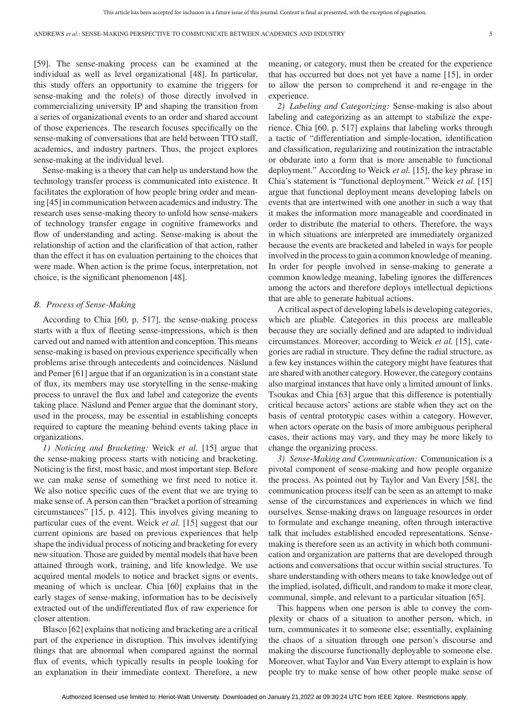[59]. The sense-making process can be examined at the individual as well as level organizational [48]. In particular, this study offers an opportunity to examine the triggers for sense-making and the role(s) of those directly involved in commercializing university IP and shaping the transition from a series of organizational events to an order and shared account of those experiences. The research focuses specifically on the sense-making of conversations that are held between TTO staff, academics, and industry partners. Thus, the project explores sense-making at the individual level.

Sense-making is a theory that can help us understand how the technology transfer process is communicated into existence. It facilitates the exploration of how people bring order and meaning [45] in communication between academics and industry. The research uses sense-making theory to unfold how sense-makers of technology transfer engage in cognitive frameworks and flow of understanding and acting. Sense-making is about the relationship of action and the clarification of that action, rather than the effect it has on evaluation pertaining to the choices that were made. When action is the prime focus, interpretation, not choice, is the significant phenomenon [48].

#### *B. Process of Sense-Making*

According to Chia [60, p. 517], the sense-making process starts with a flux of fleeting sense-impressions, which is then carved out and named with attention and conception. This means sense-making is based on previous experience specifically when problems arise through antecedents and coincidences. Näslund and Pemer [61] argue that if an organization is in a constant state of flux, its members may use storytelling in the sense-making process to unravel the flux and label and categorize the events taking place. Näslund and Pemer argue that the dominant story, used in the process, may be essential in establishing concepts required to capture the meaning behind events taking place in organizations.

*1) Noticing and Bracketing:* Weick *et al.* [15] argue that the sense-making process starts with noticing and bracketing. Noticing is the first, most basic, and most important step. Before we can make sense of something we first need to notice it. We also notice specific cues of the event that we are trying to make sense of. A person can then "bracket a portion of streaming circumstances" [15, p. 412]. This involves giving meaning to particular cues of the event. Weick *et al.* [15] suggest that our current opinions are based on previous experiences that help shape the individual process of noticing and bracketing for every new situation. Those are guided by mental models that have been attained through work, training, and life knowledge. We use acquired mental models to notice and bracket signs or events, meaning of which is unclear. Chia [60] explains that in the early stages of sense-making, information has to be decisively extracted out of the undifferentiated flux of raw experience for closer attention.

Blasco [62] explains that noticing and bracketing are a critical part of the experience in disruption. This involves identifying things that are abnormal when compared against the normal flux of events, which typically results in people looking for an explanation in their immediate context. Therefore, a new meaning, or category, must then be created for the experience that has occurred but does not yet have a name [15], in order to allow the person to comprehend it and re-engage in the experience.

*2) Labeling and Categorizing:* Sense-making is also about labeling and categorizing as an attempt to stabilize the experience. Chia [60, p. 517] explains that labeling works through a tactic of "differentiation and simple-location, identification and classification, regularizing and routinization the intractable or obdurate into a form that is more amenable to functional deployment." According to Weick *et al.* [15], the key phrase in Chia's statement is "functional deployment." Weick *et al.* [15] argue that functional deployment means developing labels on events that are intertwined with one another in such a way that it makes the information more manageable and coordinated in order to distribute the material to others. Therefore, the ways in which situations are interpreted are immediately organized because the events are bracketed and labeled in ways for people involved in the process to gain a common knowledge of meaning. In order for people involved in sense-making to generate a common knowledge meaning, labeling ignores the differences among the actors and therefore deploys intellectual depictions that are able to generate habitual actions.

A critical aspect of developing labels is developing categories, which are pliable. Categories in this process are malleable because they are socially defined and are adapted to individual circumstances. Moreover, according to Weick *et al.* [15], categories are radial in structure. They define the radial structure, as a few key instances within the category might have features that are shared with another category. However, the category contains also marginal instances that have only a limited amount of links. Tsoukas and Chia [63] argue that this difference is potentially critical because actors' actions are stable when they act on the basis of central prototypic cases within a category. However, when actors operate on the basis of more ambiguous peripheral cases, their actions may vary, and they may be more likely to change the organizing process.

*3) Sense-Making and Communication:* Communication is a pivotal component of sense-making and how people organize the process. As pointed out by Taylor and Van Every [58], the communication process itself can be seen as an attempt to make sense of the circumstances and experiences in which we find ourselves. Sense-making draws on language resources in order to formulate and exchange meaning, often through interactive talk that includes established encoded representations. Sensemaking is therefore seen as an activity in which both communication and organization are patterns that are developed through actions and conversations that occur within social structures. To share understanding with others means to take knowledge out of the implied, isolated, difficult, and random to make it more clear, communal, simple, and relevant to a particular situation [65].

This happens when one person is able to convey the complexity or chaos of a situation to another person, which, in turn, communicates it to someone else; essentially, explaining the chaos of a situation through one person's discourse and making the discourse functionally deployable to someone else. Moreover, what Taylor and Van Every attempt to explain is how people try to make sense of how other people make sense of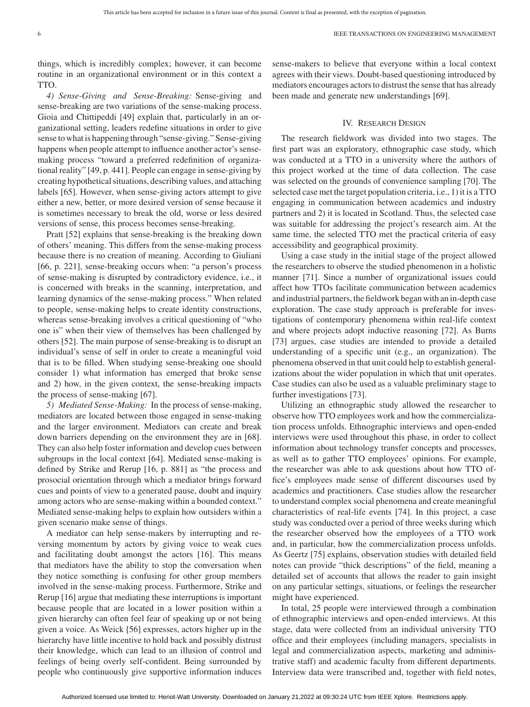things, which is incredibly complex; however, it can become routine in an organizational environment or in this context a **TTO** 

*4) Sense-Giving and Sense-Breaking:* Sense-giving and sense-breaking are two variations of the sense-making process. Gioia and Chittipeddi [49] explain that, particularly in an organizational setting, leaders redefine situations in order to give sense to what is happening through "sense-giving." Sense-giving happens when people attempt to influence another actor's sensemaking process "toward a preferred redefinition of organizational reality" [49, p. 441]. People can engage in sense-giving by creating hypothetical situations, describing values, and attaching labels [65]. However, when sense-giving actors attempt to give either a new, better, or more desired version of sense because it is sometimes necessary to break the old, worse or less desired versions of sense, this process becomes sense-breaking.

Pratt [52] explains that sense-breaking is the breaking down of others' meaning. This differs from the sense-making process because there is no creation of meaning. According to Giuliani [66, p. 221], sense-breaking occurs when: "a person's process of sense-making is disrupted by contradictory evidence, i.e., it is concerned with breaks in the scanning, interpretation, and learning dynamics of the sense-making process." When related to people, sense-making helps to create identity constructions, whereas sense-breaking involves a critical questioning of "who one is" when their view of themselves has been challenged by others [52]. The main purpose of sense-breaking is to disrupt an individual's sense of self in order to create a meaningful void that is to be filled. When studying sense-breaking one should consider 1) what information has emerged that broke sense and 2) how, in the given context, the sense-breaking impacts the process of sense-making [67].

*5) Mediated Sense-Making:* In the process of sense-making, mediators are located between those engaged in sense-making and the larger environment. Mediators can create and break down barriers depending on the environment they are in [68]. They can also help foster information and develop cues between subgroups in the local context [64]. Mediated sense-making is defined by Strike and Rerup [16, p. 881] as "the process and prosocial orientation through which a mediator brings forward cues and points of view to a generated pause, doubt and inquiry among actors who are sense-making within a bounded context." Mediated sense-making helps to explain how outsiders within a given scenario make sense of things.

A mediator can help sense-makers by interrupting and reversing momentum by actors by giving voice to weak cues and facilitating doubt amongst the actors [16]. This means that mediators have the ability to stop the conversation when they notice something is confusing for other group members involved in the sense-making process. Furthermore, Strike and Rerup [16] argue that mediating these interruptions is important because people that are located in a lower position within a given hierarchy can often feel fear of speaking up or not being given a voice. As Weick [56] expresses, actors higher up in the hierarchy have little incentive to hold back and possibly distrust their knowledge, which can lead to an illusion of control and feelings of being overly self-confident. Being surrounded by people who continuously give supportive information induces sense-makers to believe that everyone within a local context agrees with their views. Doubt-based questioning introduced by mediators encourages actors to distrust the sense that has already been made and generate new understandings [69].

#### IV. RESEARCH DESIGN

The research fieldwork was divided into two stages. The first part was an exploratory, ethnographic case study, which was conducted at a TTO in a university where the authors of this project worked at the time of data collection. The case was selected on the grounds of convenience sampling [70]. The selected case met the target population criteria, i.e., 1) it is a TTO engaging in communication between academics and industry partners and 2) it is located in Scotland. Thus, the selected case was suitable for addressing the project's research aim. At the same time, the selected TTO met the practical criteria of easy accessibility and geographical proximity.

Using a case study in the initial stage of the project allowed the researchers to observe the studied phenomenon in a holistic manner [71]. Since a number of organizational issues could affect how TTOs facilitate communication between academics and industrial partners, the fieldwork began with an in-depth case exploration. The case study approach is preferable for investigations of contemporary phenomena within real-life context and where projects adopt inductive reasoning [72]. As Burns [73] argues, case studies are intended to provide a detailed understanding of a specific unit (e.g., an organization). The phenomena observed in that unit could help to establish generalizations about the wider population in which that unit operates. Case studies can also be used as a valuable preliminary stage to further investigations [73].

Utilizing an ethnographic study allowed the researcher to observe how TTO employees work and how the commercialization process unfolds. Ethnographic interviews and open-ended interviews were used throughout this phase, in order to collect information about technology transfer concepts and processes, as well as to gather TTO employees' opinions. For example, the researcher was able to ask questions about how TTO office's employees made sense of different discourses used by academics and practitioners. Case studies allow the researcher to understand complex social phenomena and create meaningful characteristics of real-life events [74]. In this project, a case study was conducted over a period of three weeks during which the researcher observed how the employees of a TTO work and, in particular, how the commercialization process unfolds. As Geertz [75] explains, observation studies with detailed field notes can provide "thick descriptions" of the field, meaning a detailed set of accounts that allows the reader to gain insight on any particular settings, situations, or feelings the researcher might have experienced.

In total, 25 people were interviewed through a combination of ethnographic interviews and open-ended interviews. At this stage, data were collected from an individual university TTO office and their employees (including managers, specialists in legal and commercialization aspects, marketing and administrative staff) and academic faculty from different departments. Interview data were transcribed and, together with field notes,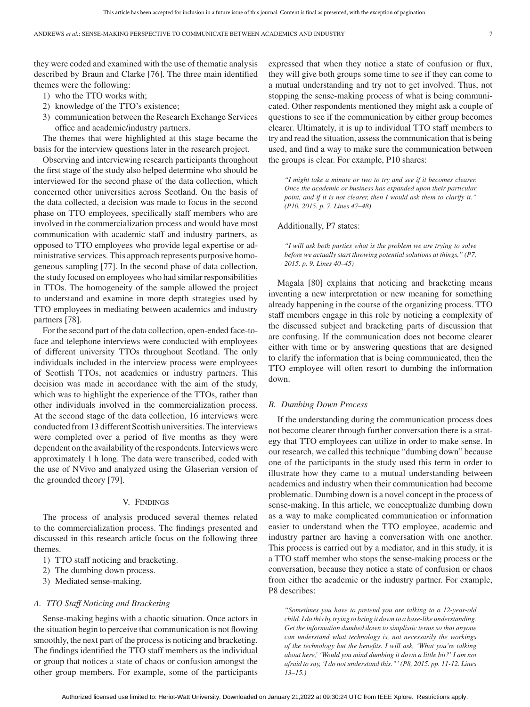they were coded and examined with the use of thematic analysis described by Braun and Clarke [76]. The three main identified themes were the following:

- 1) who the TTO works with;
- 2) knowledge of the TTO's existence;
- 3) communication between the Research Exchange Services office and academic/industry partners.

The themes that were highlighted at this stage became the basis for the interview questions later in the research project.

Observing and interviewing research participants throughout the first stage of the study also helped determine who should be interviewed for the second phase of the data collection, which concerned other universities across Scotland. On the basis of the data collected, a decision was made to focus in the second phase on TTO employees, specifically staff members who are involved in the commercialization process and would have most communication with academic staff and industry partners, as opposed to TTO employees who provide legal expertise or administrative services. This approach represents purposive homogeneous sampling [77]. In the second phase of data collection, the study focused on employees who had similar responsibilities in TTOs. The homogeneity of the sample allowed the project to understand and examine in more depth strategies used by TTO employees in mediating between academics and industry partners [78].

For the second part of the data collection, open-ended face-toface and telephone interviews were conducted with employees of different university TTOs throughout Scotland. The only individuals included in the interview process were employees of Scottish TTOs, not academics or industry partners. This decision was made in accordance with the aim of the study, which was to highlight the experience of the TTOs, rather than other individuals involved in the commercialization process. At the second stage of the data collection, 16 interviews were conducted from 13 different Scottish universities. The interviews were completed over a period of five months as they were dependent on the availability of the respondents. Interviews were approximately 1 h long. The data were transcribed, coded with the use of NVivo and analyzed using the Glaserian version of the grounded theory [79].

#### V. FINDINGS

The process of analysis produced several themes related to the commercialization process. The findings presented and discussed in this research article focus on the following three themes.

- 1) TTO staff noticing and bracketing.
- 2) The dumbing down process.
- 3) Mediated sense-making.

### *A. TTO Staff Noticing and Bracketing*

Sense-making begins with a chaotic situation. Once actors in the situation begin to perceive that communication is not flowing smoothly, the next part of the process is noticing and bracketing. The findings identified the TTO staff members as the individual or group that notices a state of chaos or confusion amongst the other group members. For example, some of the participants

expressed that when they notice a state of confusion or flux, they will give both groups some time to see if they can come to a mutual understanding and try not to get involved. Thus, not stopping the sense-making process of what is being communicated. Other respondents mentioned they might ask a couple of questions to see if the communication by either group becomes clearer. Ultimately, it is up to individual TTO staff members to try and read the situation, assess the communication that is being used, and find a way to make sure the communication between the groups is clear. For example, P10 shares:

*"I might take a minute or two to try and see if it becomes clearer. Once the academic or business has expanded upon their particular point, and if it is not clearer, then I would ask them to clarify it." (P10, 2015. p. 7. Lines 47–48)*

# Additionally, P7 states:

*"I will ask both parties what is the problem we are trying to solve before we actually start throwing potential solutions at things." (P7, 2015. p. 9. Lines 40–45)*

Magala [80] explains that noticing and bracketing means inventing a new interpretation or new meaning for something already happening in the course of the organizing process. TTO staff members engage in this role by noticing a complexity of the discussed subject and bracketing parts of discussion that are confusing. If the communication does not become clearer either with time or by answering questions that are designed to clarify the information that is being communicated, then the TTO employee will often resort to dumbing the information down.

#### *B. Dumbing Down Process*

If the understanding during the communication process does not become clearer through further conversation there is a strategy that TTO employees can utilize in order to make sense. In our research, we called this technique "dumbing down" because one of the participants in the study used this term in order to illustrate how they came to a mutual understanding between academics and industry when their communication had become problematic. Dumbing down is a novel concept in the process of sense-making. In this article, we conceptualize dumbing down as a way to make complicated communication or information easier to understand when the TTO employee, academic and industry partner are having a conversation with one another. This process is carried out by a mediator, and in this study, it is a TTO staff member who stops the sense-making process or the conversation, because they notice a state of confusion or chaos from either the academic or the industry partner. For example, P8 describes:

*"Sometimes you have to pretend you are talking to a 12-year-old child. I do this by trying to bring it down to a base-like understanding. Get the information dumbed down to simplistic terms so that anyone can understand what technology is, not necessarily the workings of the technology but the benefits. I will ask, 'What you're talking about here,' 'Would you mind dumbing it down a little bit?' I am not afraid to say, 'I do not understand this."' (P8, 2015. pp. 11-12. Lines 13–15.)*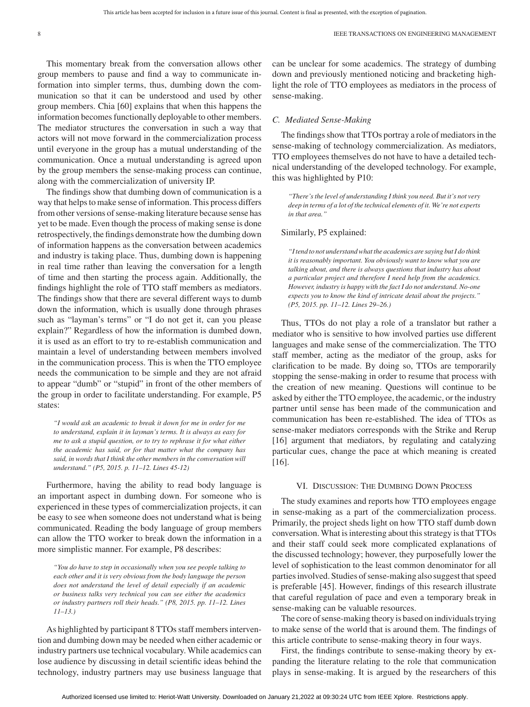This momentary break from the conversation allows other group members to pause and find a way to communicate information into simpler terms, thus, dumbing down the communication so that it can be understood and used by other group members. Chia [60] explains that when this happens the information becomes functionally deployable to other members. The mediator structures the conversation in such a way that actors will not move forward in the commercialization process until everyone in the group has a mutual understanding of the communication. Once a mutual understanding is agreed upon by the group members the sense-making process can continue, along with the commercialization of university IP.

The findings show that dumbing down of communication is a way that helps to make sense of information. This process differs from other versions of sense-making literature because sense has yet to be made. Even though the process of making sense is done retrospectively, the findings demonstrate how the dumbing down of information happens as the conversation between academics and industry is taking place. Thus, dumbing down is happening in real time rather than leaving the conversation for a length of time and then starting the process again. Additionally, the findings highlight the role of TTO staff members as mediators. The findings show that there are several different ways to dumb down the information, which is usually done through phrases such as "layman's terms" or "I do not get it, can you please explain?" Regardless of how the information is dumbed down, it is used as an effort to try to re-establish communication and maintain a level of understanding between members involved in the communication process. This is when the TTO employee needs the communication to be simple and they are not afraid to appear "dumb" or "stupid" in front of the other members of the group in order to facilitate understanding. For example, P5 states:

*"I would ask an academic to break it down for me in order for me to understand, explain it in layman's terms. It is always as easy for me to ask a stupid question, or to try to rephrase it for what either the academic has said, or for that matter what the company has said, in words that I think the other members in the conversation will understand." (P5, 2015. p. 11–12. Lines 45-12)*

Furthermore, having the ability to read body language is an important aspect in dumbing down. For someone who is experienced in these types of commercialization projects, it can be easy to see when someone does not understand what is being communicated. Reading the body language of group members can allow the TTO worker to break down the information in a more simplistic manner. For example, P8 describes:

*"You do have to step in occasionally when you see people talking to each other and it is very obvious from the body language the person does not understand the level of detail especially if an academic or business talks very technical you can see either the academics or industry partners roll their heads." (P8, 2015. pp. 11–12. Lines 11–13.)*

As highlighted by participant 8 TTOs staff members intervention and dumbing down may be needed when either academic or industry partners use technical vocabulary. While academics can lose audience by discussing in detail scientific ideas behind the technology, industry partners may use business language that can be unclear for some academics. The strategy of dumbing down and previously mentioned noticing and bracketing highlight the role of TTO employees as mediators in the process of sense-making.

#### *C. Mediated Sense-Making*

The findings show that TTOs portray a role of mediators in the sense-making of technology commercialization. As mediators, TTO employees themselves do not have to have a detailed technical understanding of the developed technology. For example, this was highlighted by P10:

*"There's the level of understanding I think you need. But it's not very deep in terms of a lot of the technical elements of it. We're not experts in that area."*

#### Similarly, P5 explained:

*"I tend to not understand what the academics are saying but I do think it is reasonably important. You obviously want to know what you are talking about, and there is always questions that industry has about a particular project and therefore I need help from the academics. However, industry is happy with the fact I do not understand. No-one expects you to know the kind of intricate detail about the projects." (P5, 2015. pp. 11–12. Lines 29–26.)*

Thus, TTOs do not play a role of a translator but rather a mediator who is sensitive to how involved parties use different languages and make sense of the commercialization. The TTO staff member, acting as the mediator of the group, asks for clarification to be made. By doing so, TTOs are temporarily stopping the sense-making in order to resume that process with the creation of new meaning. Questions will continue to be asked by either the TTO employee, the academic, or the industry partner until sense has been made of the communication and communication has been re-established. The idea of TTOs as sense-maker mediators corresponds with the Strike and Rerup [16] argument that mediators, by regulating and catalyzing particular cues, change the pace at which meaning is created [16].

#### VI. DISCUSSION: THE DUMBING DOWN PROCESS

The study examines and reports how TTO employees engage in sense-making as a part of the commercialization process. Primarily, the project sheds light on how TTO staff dumb down conversation. What is interesting about this strategy is that TTOs and their staff could seek more complicated explanations of the discussed technology; however, they purposefully lower the level of sophistication to the least common denominator for all parties involved. Studies of sense-making also suggest that speed is preferable [45]. However, findings of this research illustrate that careful regulation of pace and even a temporary break in sense-making can be valuable resources.

The core of sense-making theory is based on individuals trying to make sense of the world that is around them. The findings of this article contribute to sense-making theory in four ways.

First, the findings contribute to sense-making theory by expanding the literature relating to the role that communication plays in sense-making. It is argued by the researchers of this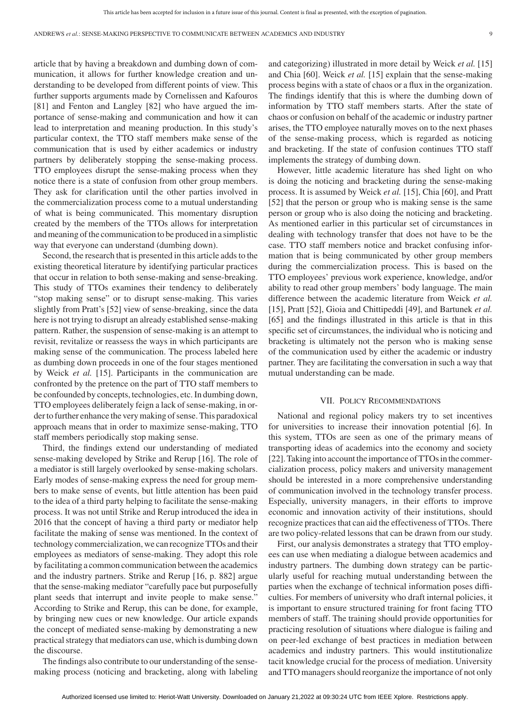article that by having a breakdown and dumbing down of communication, it allows for further knowledge creation and understanding to be developed from different points of view. This further supports arguments made by Cornelissen and Kafouros [81] and Fenton and Langley [82] who have argued the importance of sense-making and communication and how it can lead to interpretation and meaning production. In this study's particular context, the TTO staff members make sense of the communication that is used by either academics or industry partners by deliberately stopping the sense-making process. TTO employees disrupt the sense-making process when they notice there is a state of confusion from other group members. They ask for clarification until the other parties involved in the commercialization process come to a mutual understanding of what is being communicated. This momentary disruption created by the members of the TTOs allows for interpretation and meaning of the communication to be produced in a simplistic way that everyone can understand (dumbing down).

Second, the research that is presented in this article adds to the existing theoretical literature by identifying particular practices that occur in relation to both sense-making and sense-breaking. This study of TTOs examines their tendency to deliberately "stop making sense" or to disrupt sense-making. This varies slightly from Pratt's [52] view of sense-breaking, since the data here is not trying to disrupt an already established sense-making pattern. Rather, the suspension of sense-making is an attempt to revisit, revitalize or reassess the ways in which participants are making sense of the communication. The process labeled here as dumbing down proceeds in one of the four stages mentioned by Weick *et al.* [15]. Participants in the communication are confronted by the pretence on the part of TTO staff members to be confounded by concepts, technologies, etc. In dumbing down, TTO employees deliberately feign a lack of sense-making, in order to further enhance the very making of sense. This paradoxical approach means that in order to maximize sense-making, TTO staff members periodically stop making sense.

Third, the findings extend our understanding of mediated sense-making developed by Strike and Rerup [16]. The role of a mediator is still largely overlooked by sense-making scholars. Early modes of sense-making express the need for group members to make sense of events, but little attention has been paid to the idea of a third party helping to facilitate the sense-making process. It was not until Strike and Rerup introduced the idea in 2016 that the concept of having a third party or mediator help facilitate the making of sense was mentioned. In the context of technology commercialization, we can recognize TTOs and their employees as mediators of sense-making. They adopt this role by facilitating a common communication between the academics and the industry partners. Strike and Rerup [16, p. 882] argue that the sense-making mediator "carefully pace but purposefully plant seeds that interrupt and invite people to make sense." According to Strike and Rerup, this can be done, for example, by bringing new cues or new knowledge. Our article expands the concept of mediated sense-making by demonstrating a new practical strategy that mediators can use, which is dumbing down the discourse.

The findings also contribute to our understanding of the sensemaking process (noticing and bracketing, along with labeling and categorizing) illustrated in more detail by Weick *et al.* [15] and Chia [60]. Weick *et al.* [15] explain that the sense-making process begins with a state of chaos or a flux in the organization. The findings identify that this is where the dumbing down of information by TTO staff members starts. After the state of chaos or confusion on behalf of the academic or industry partner arises, the TTO employee naturally moves on to the next phases of the sense-making process, which is regarded as noticing and bracketing. If the state of confusion continues TTO staff implements the strategy of dumbing down.

However, little academic literature has shed light on who is doing the noticing and bracketing during the sense-making process. It is assumed by Weick *et al.* [15], Chia [60], and Pratt [52] that the person or group who is making sense is the same person or group who is also doing the noticing and bracketing. As mentioned earlier in this particular set of circumstances in dealing with technology transfer that does not have to be the case. TTO staff members notice and bracket confusing information that is being communicated by other group members during the commercialization process. This is based on the TTO employees' previous work experience, knowledge, and/or ability to read other group members' body language. The main difference between the academic literature from Weick *et al.* [15], Pratt [52], Gioia and Chittipeddi [49], and Bartunek *et al.* [65] and the findings illustrated in this article is that in this specific set of circumstances, the individual who is noticing and bracketing is ultimately not the person who is making sense of the communication used by either the academic or industry partner. They are facilitating the conversation in such a way that mutual understanding can be made.

#### VII. POLICY RECOMMENDATIONS

National and regional policy makers try to set incentives for universities to increase their innovation potential [6]. In this system, TTOs are seen as one of the primary means of transporting ideas of academics into the economy and society [22]. Taking into account the importance of TTOs in the commercialization process, policy makers and university management should be interested in a more comprehensive understanding of communication involved in the technology transfer process. Especially, university managers, in their efforts to improve economic and innovation activity of their institutions, should recognize practices that can aid the effectiveness of TTOs. There are two policy-related lessons that can be drawn from our study.

First, our analysis demonstrates a strategy that TTO employees can use when mediating a dialogue between academics and industry partners. The dumbing down strategy can be particularly useful for reaching mutual understanding between the parties when the exchange of technical information poses difficulties. For members of university who draft internal policies, it is important to ensure structured training for front facing TTO members of staff. The training should provide opportunities for practicing resolution of situations where dialogue is failing and on peer-led exchange of best practices in mediation between academics and industry partners. This would institutionalize tacit knowledge crucial for the process of mediation. University and TTO managers should reorganize the importance of not only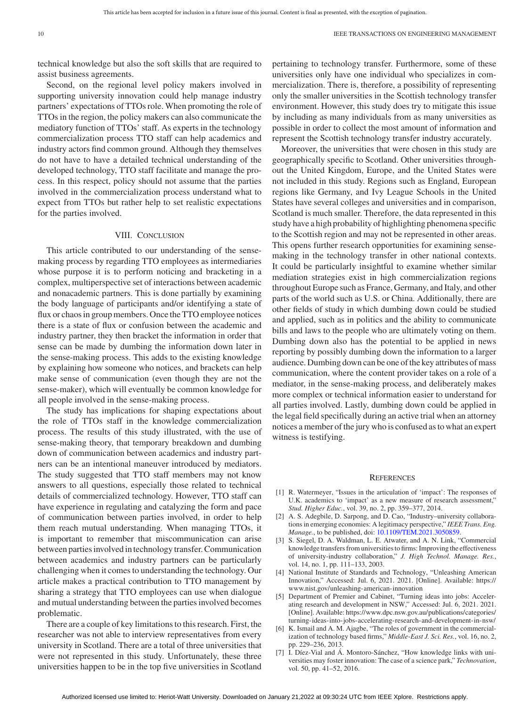technical knowledge but also the soft skills that are required to assist business agreements.

Second, on the regional level policy makers involved in supporting university innovation could help manage industry partners' expectations of TTOs role. When promoting the role of TTOs in the region, the policy makers can also communicate the mediatory function of TTOs' staff. As experts in the technology commercialization process TTO staff can help academics and industry actors find common ground. Although they themselves do not have to have a detailed technical understanding of the developed technology, TTO staff facilitate and manage the process. In this respect, policy should not assume that the parties involved in the commercialization process understand what to expect from TTOs but rather help to set realistic expectations for the parties involved.

#### VIII. CONCLUSION

This article contributed to our understanding of the sensemaking process by regarding TTO employees as intermediaries whose purpose it is to perform noticing and bracketing in a complex, multiperspective set of interactions between academic and nonacademic partners. This is done partially by examining the body language of participants and/or identifying a state of flux or chaos in group members. Once the TTO employee notices there is a state of flux or confusion between the academic and industry partner, they then bracket the information in order that sense can be made by dumbing the information down later in the sense-making process. This adds to the existing knowledge by explaining how someone who notices, and brackets can help make sense of communication (even though they are not the sense-maker), which will eventually be common knowledge for all people involved in the sense-making process.

The study has implications for shaping expectations about the role of TTOs staff in the knowledge commercialization process. The results of this study illustrated, with the use of sense-making theory, that temporary breakdown and dumbing down of communication between academics and industry partners can be an intentional maneuver introduced by mediators. The study suggested that TTO staff members may not know answers to all questions, especially those related to technical details of commercialized technology. However, TTO staff can have experience in regulating and catalyzing the form and pace of communication between parties involved, in order to help them reach mutual understanding. When managing TTOs, it is important to remember that miscommunication can arise between parties involved in technology transfer. Communication between academics and industry partners can be particularly challenging when it comes to understanding the technology. Our article makes a practical contribution to TTO management by sharing a strategy that TTO employees can use when dialogue and mutual understanding between the parties involved becomes problematic.

There are a couple of key limitations to this research. First, the researcher was not able to interview representatives from every university in Scotland. There are a total of three universities that were not represented in this study. Unfortunately, these three universities happen to be in the top five universities in Scotland

pertaining to technology transfer. Furthermore, some of these universities only have one individual who specializes in commercialization. There is, therefore, a possibility of representing only the smaller universities in the Scottish technology transfer environment. However, this study does try to mitigate this issue by including as many individuals from as many universities as possible in order to collect the most amount of information and represent the Scottish technology transfer industry accurately.

Moreover, the universities that were chosen in this study are geographically specific to Scotland. Other universities throughout the United Kingdom, Europe, and the United States were not included in this study. Regions such as England, European regions like Germany, and Ivy League Schools in the United States have several colleges and universities and in comparison, Scotland is much smaller. Therefore, the data represented in this study have a high probability of highlighting phenomena specific to the Scottish region and may not be represented in other areas. This opens further research opportunities for examining sensemaking in the technology transfer in other national contexts. It could be particularly insightful to examine whether similar mediation strategies exist in high commercialization regions throughout Europe such as France, Germany, and Italy, and other parts of the world such as U.S. or China. Additionally, there are other fields of study in which dumbing down could be studied and applied, such as in politics and the ability to communicate bills and laws to the people who are ultimately voting on them. Dumbing down also has the potential to be applied in news reporting by possibly dumbing down the information to a larger audience. Dumbing down can be one of the key attributes of mass communication, where the content provider takes on a role of a mediator, in the sense-making process, and deliberately makes more complex or technical information easier to understand for all parties involved. Lastly, dumbing down could be applied in the legal field specifically during an active trial when an attorney notices a member of the jury who is confused as to what an expert witness is testifying.

#### **REFERENCES**

- [1] R. Watermeyer, "Issues in the articulation of 'impact': The responses of U.K. academics to 'impact' as a new measure of research assessment," *Stud. Higher Educ.*, vol. 39, no. 2, pp. 359–377, 2014.
- [2] A. S. Adegbile, D. Sarpong, and D. Cao, "Industry–university collaborations in emerging economies: A legitimacy perspective," *IEEE Trans. Eng. Manage.*, to be published, doi: [10.1109/TEM.2021.3050859.](https://dx.doi.org/10.1109/TEM.2021.3050859)
- [3] S. Siegel, D. A. Waldman, L. E. Atwater, and A. N. Link, "Commercial knowledge transfers from universities to firms: Improving the effectiveness of university-industry collaboration," *J. High Technol. Manage. Res.*, vol. 14, no. 1, pp. 111-133, 2003.
- [4] National Institute of Standards and Technology, "Unleashing American Innovation," Accessed: Jul. 6, 2021. 2021. [Online]. Available: [https://](https://www.nist.gov/unleashing-american-innovation) [www.nist.gov/unleashing-american-innovation](https://www.nist.gov/unleashing-american-innovation)
- [5] Department of Premier and Cabinet, "Turning ideas into jobs: Accelerating research and development in NSW," Accessed: Jul. 6, 2021. 2021. [Online]. Available: [https://www.dpc.nsw.gov.au/publications/categories/](https://www.dpc.nsw.gov.au/publications/categories/turning-ideas-into-jobs-accelerating-research-and-development-in-nsw/) [turning-ideas-into-jobs-accelerating-research-and-development-in-nsw/](https://www.dpc.nsw.gov.au/publications/categories/turning-ideas-into-jobs-accelerating-research-and-development-in-nsw/)
- [6] K. Ismail and A. M. Ajagbe, "The roles of government in the commercialization of technology based firms," *Middle-East J. Sci. Res.*, vol. 16, no. 2, pp. 229–236, 2013.
- [7] I. Díez-Vial and Á. Montoro-Sánchez, "How knowledge links with universities may foster innovation: The case of a science park," *Technovation*, vol. 50, pp. 41–52, 2016.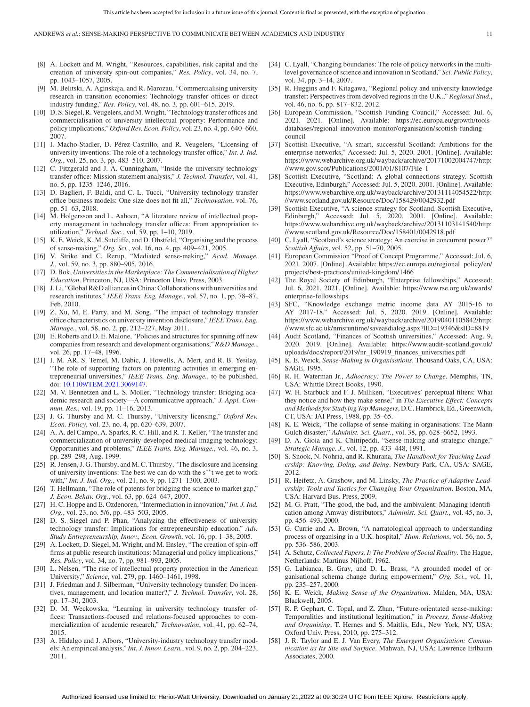- [8] A. Lockett and M. Wright, "Resources, capabilities, risk capital and the creation of university spin-out companies," *Res. Policy*, vol. 34, no. 7, pp. 1043–1057, 2005.
- [9] M. Belitski, A. Aginskaja, and R. Marozau, "Commercialising university research in transition economies: Technology transfer offices or direct industry funding," *Res. Policy*, vol. 48, no. 3, pp. 601–615, 2019.
- [10] D. S. Siegel, R. Veugelers, and M. Wright, "Technology transfer offices and commercialisation of university intellectual property: Performance and policy implications," *Oxford Rev. Econ. Policy*, vol. 23, no. 4, pp. 640–660, 2007.
- [11] I. Macho-Stadler, D. Pérez-Castrillo, and R. Veugelers, "Licensing of university inventions: The role of a technology transfer office," *Int. J. Ind. Org.*, vol. 25, no. 3, pp. 483–510, 2007.
- [12] C. Fitzgerald and J. A. Cunningham, "Inside the university technology transfer office: Mission statement analysis," *J. Technol. Transfer*, vol. 41, no. 5, pp. 1235–1246, 2016.
- [13] D. Baglieri, F. Baldi, and C. L. Tucci, "University technology transfer office business models: One size does not fit all," *Technovation*, vol. 76, pp. 51–63, 2018.
- [14] M. Holgersson and L. Aaboen, "A literature review of intellectual property management in technology transfer offices: From appropriation to utilization," *Technol. Soc.*, vol. 59, pp. 1–10, 2019.
- [15] K. E. Weick, K. M. Sutcliffe, and D. Obstfeld, "Organising and the process of sense-making," *Org. Sci.*, vol. 16, no. 4, pp. 409–421, 2005.
- [16] V. Strike and C. Rerup, "Mediated sense-making," *Acad. Manage. J.*, vol. 59, no. 3, pp. 880–905, 2016.
- [17] D. Bok, *Universities in the Marketplace: The Commercialisation of Higher Education*. Princeton, NJ, USA: Princeton Univ. Press, 2003.
- [18] J. Li, "Global R&D alliances in China: Collaborations with universities and research institutes," *IEEE Trans. Eng. Manage.*, vol. 57, no. 1, pp. 78–87, Feb. 2010.
- [19] Z. Xu, M. E. Parry, and M. Song, "The impact of technology transfer office characteristics on university invention disclosure," *IEEE Trans. Eng. Manage.*, vol. 58, no. 2, pp. 212–227, May 2011.
- [20] E. Roberts and D. E. Malone, "Policies and structures for spinning off new companies from research and development organisations," *R&D Manage.*, vol. 26, pp. 17–48, 1996.
- [21] I. M. AR, S. Temel, M. Dabic, J. Howells, A. Mert, and R. B. Yesilay, "The role of supporting factors on patenting activities in emerging entrepreneurial universities," *IEEE Trans. Eng. Manage.*, to be published, doi: [10.1109/TEM.2021.3069147.](https://dx.doi.org/10.1109/TEM.2021.3069147)
- [22] M. V. Bennetzen and L. S. Moller, "Technology transfer: Bridging academic research and society—A communicative approach," *J. Appl. Commun. Res.*, vol. 19, pp. 11–16, 2013.
- [23] J. G. Thursby and M. C. Thursby, "University licensing," *Oxford Rev. Econ. Policy*, vol. 23, no. 4, pp. 620–639, 2007.
- [24] A. A. del Campo, A. Sparks, R. C. Hill, and R. T. Keller, "The transfer and commercialization of university-developed medical imaging technology: Opportunities and problems," *IEEE Trans. Eng. Manage.*, vol. 46, no. 3, pp. 289–298, Aug. 1999.
- [25] R. Jensen, J. G. Thursby, and M. C. Thursby, "The disclosure and licensing of university inventions: The best we can do with the s∗∗t we get to work with," *Int. J. Ind. Org.*, vol. 21, no. 9, pp. 1271–1300, 2003.
- [26] T. Hellmann, "The role of patents for bridging the science to market gap," *J. Econ. Behav. Org.*, vol. 63, pp. 624–647, 2007.
- [27] H. C. Hoppe and E. Ozdenoren, "Intermediation in innovation," *Int. J. Ind. Org.*, vol. 23, no. 5/6, pp. 483–503, 2005.
- [28] D. S. Siegel and P. Phan, "Analyzing the effectiveness of university technology transfer: Implications for entrepreneurship education," *Adv. Study Entrepreneurship, Innov., Econ. Growth*, vol. 16, pp. 1–38, 2005.
- [29] A. Lockett, D. Siegel, M. Wright, and M. Ensley, "The creation of spin-off firms at public research institutions: Managerial and policy implications," *Res. Policy*, vol. 34, no. 7, pp. 981–993, 2005.
- [30] L. Nelsen, "The rise of intellectual property protection in the American University," *Science*, vol. 279, pp. 1460–1461, 1998.
- [31] J. Friedman and J. Silberman, "University technology transfer: Do incentives, management, and location matter?," *J. Technol. Transfer*, vol. 28, pp. 17–30, 2003.
- [32] D. M. Weckowska, "Learning in university technology transfer offices: Transactions-focused and relations-focused approaches to commercialization of academic research," *Technovation*, vol. 41, pp. 62–74, 2015.
- [33] A. Hidalgo and J. Albors, "University-industry technology transfer models: An empirical analysis," *Int. J. Innov. Learn.*, vol. 9, no. 2, pp. 204–223, 2011.
- [34] C. Lyall, "Changing boundaries: The role of policy networks in the multilevel governance of science and innovation in Scotland," *Sci. Public Policy*, vol. 34, pp. 3–14, 2007.
- [35] R. Huggins and F. Kitagawa, "Regional policy and university knowledge transfer: Perspectives from devolved regions in the U.K.," *Regional Stud.*, vol. 46, no. 6, pp. 817–832, 2012.
- [36] European Commission, "Scottish Funding Council," Accessed: Jul. 6, 2021. 2021. [Online]. Available: [https://ec.europa.eu/growth/tools](https://ec.europa.eu/growth/tools-databases/regional-innovation-monitor/organisation/scottish-funding-council)[databases/regional-innovation-monitor/organisation/scottish-funding](https://ec.europa.eu/growth/tools-databases/regional-innovation-monitor/organisation/scottish-funding-council)[council](https://ec.europa.eu/growth/tools-databases/regional-innovation-monitor/organisation/scottish-funding-council)
- [37] Scottish Executive, "A smart, successful Scotland: Ambitions for the enterprise networks," Accessed: Jul. 5, 2020. 2001. [Online]. Available: [https://www.webarchive.org.uk/wayback/archive/20171002004747/http:](https://www.webarchive.org.uk/wayback/archive/20171002004747/http://www.gov.scot/Publications/2001/01/8107/File-1) [//www.gov.scot/Publications/2001/01/8107/File-1](https://www.webarchive.org.uk/wayback/archive/20171002004747/http://www.gov.scot/Publications/2001/01/8107/File-1)
- [38] Scottish Executive, "Scotland: A global connections strategy. Scottish Executive, Edinburgh," Accessed: Jul. 5, 2020. 2001. [Online]. Available: [https://www.webarchive.org.uk/wayback/archive/20131114054522/http:](https://www.webarchive.org.uk/wayback/archive/20131114054522/http://www.scotland.gov.uk/Resource/Doc/158429/0042932.pdf) [//www.scotland.gov.uk/Resource/Doc/158429/0042932.pdf](https://www.webarchive.org.uk/wayback/archive/20131114054522/http://www.scotland.gov.uk/Resource/Doc/158429/0042932.pdf)
- [39] Scottish Executive, "A science strategy for Scotland. Scottish Executive, Edinburgh," Accessed: Jul. 5, 2020. 2001. [Online]. Available: [https://www.webarchive.org.uk/wayback/archive/20131103141540/http:](https://www.webarchive.org.uk/wayback/archive/20131103141540/http://www.scotland.gov.uk/Resource/Doc/158401/0042918.pdf) [//www.scotland.gov.uk/Resource/Doc/158401/0042918.pdf](https://www.webarchive.org.uk/wayback/archive/20131103141540/http://www.scotland.gov.uk/Resource/Doc/158401/0042918.pdf)
- [40] C. Lyall, "Scotland's science strategy: An exercise in concurrent power?" *Scottish Affairs*, vol. 52, pp. 51–70, 2005.
- [41] European Commission "Proof of Concept Programme," Accessed: Jul. 6, 2021. 2007. [Online]. Available: [https://ec.europa.eu/regional\\_policy/en/](https://ec.europa.eu/regional_policy/en/projects/best-practices/united-kingdom/1466) [projects/best-practices/united-kingdom/1466](https://ec.europa.eu/regional_policy/en/projects/best-practices/united-kingdom/1466)
- [42] The Royal Society of Edinburgh, "Enterprise fellowships," Accessed: Jul. 6, 2021. 2021. [Online]. Available: [https://www.rse.org.uk/awards/](https://www.rse.org.uk/awards/enterprise-fellowships) [enterprise-fellowships](https://www.rse.org.uk/awards/enterprise-fellowships)
- [43] SFC, "Knowledge exchange metric income data AY 2015-16 to AY 2017-18," Accessed: Jul. 5, 2020. 2019. [Online]. Available: [https://www.webarchive.org.uk/wayback/archive/20190401105842/http:](https://www.webarchive.org.uk/wayback/archive/20190401105842/http://www.sfc.ac.uk/nmsruntime/saveasdialog.aspx?lID=19346&sID=8819) [//www.sfc.ac.uk/nmsruntime/saveasdialog.aspx?lID=19346&sID=8819](https://www.webarchive.org.uk/wayback/archive/20190401105842/http://www.sfc.ac.uk/nmsruntime/saveasdialog.aspx?lID=19346&sID=8819)
- [44] Audit Scotland, "Finances of Scottish universities," Accessed: Aug. 9, 2020. 2019. [Online]. Available: [https://www.audit-scotland.gov.uk/](https://www.audit-scotland.gov.uk/uploads/docs/report/2019/nr_190919_finances_universities.pdf) [uploads/docs/report/2019/nr\\_190919\\_finances\\_universities.pdf](https://www.audit-scotland.gov.uk/uploads/docs/report/2019/nr_190919_finances_universities.pdf)
- [45] K. E. Weick, *Sense-Making in Organisations*. Thousand Oaks, CA, USA: SAGE, 1995.
- [46] R. H. Waterman Jr., *Adhocracy: The Power to Change*. Memphis, TN, USA: Whittle Direct Books, 1990.
- [47] W. H. Starbuck and F. J. Milliken, "Executives' perceptual filters: What they notice and how they make sense," in *The Executive Effect: Concepts and Methods for Studying Top Managers*, D.C. Hambrick, Ed., Greenwich, CT, USA: JAI Press, 1988, pp. 35–65.
- [48] K. E. Weick, "The collapse of sense-making in organisations: The Mann Gulch disaster," *Administ. Sci. Quart.*, vol. 38, pp. 628–6652, 1993.
- [49] D. A. Gioia and K. Chittipeddi, "Sense-making and strategic change," *Strategic Manage. J.*, vol. 12, pp. 433–448, 1991.
- [50] S. Snook, N. Nohria, and R. Khurana, *The Handbook for Teaching Leadership: Knowing, Doing, and Being*. Newbury Park, CA, USA: SAGE, 2012.
- [51] R. Heifetz, A. Grashow, and M. Linsky, *The Practice of Adaptive Leadership: Tools and Tactics for Changing Your Organisation*. Boston, MA, USA: Harvard Bus. Press, 2009.
- [52] M. G. Pratt, "The good, the bad, and the ambivalent: Managing identification among Amway distributors," *Administ. Sci. Quart.*, vol. 45, no. 3, pp. 456–493, 2000.
- [53] G. Currie and A. Brown, "A narratological approach to understanding process of organising in a U.K. hospital," *Hum. Relations*, vol. 56, no. 5, pp. 536–586, 2003.
- [54] A. Schutz, *Collected Papers, I: The Problem of Social Reality*. The Hague, Netherlands: Martinus Nijhoff, 1962.
- [55] G. Labianca, B. Gray, and D. L. Brass, "A grounded model of organisational schema change during empowerment," *Org. Sci.*, vol. 11, pp. 235–257, 2000.
- [56] K. E. Weick, *Making Sense of the Organisation*. Malden, MA, USA: Blackwell, 2005.
- [57] R. P. Gephart, C. Topal, and Z. Zhan, "Future-orientated sense-making: Temporalities and institutional legitimation," in *Process, Sense-Making and Organising*, T. Hernes and S. Maitlis, Eds., New York, NY, USA: Oxford Univ. Press, 2010, pp. 275–312.
- [58] J. R. Taylor and E. J. Van Every, *The Emergent Organisation: Communication as Its Site and Surface*. Mahwah, NJ, USA: Lawrence Erlbaum Associates, 2000.